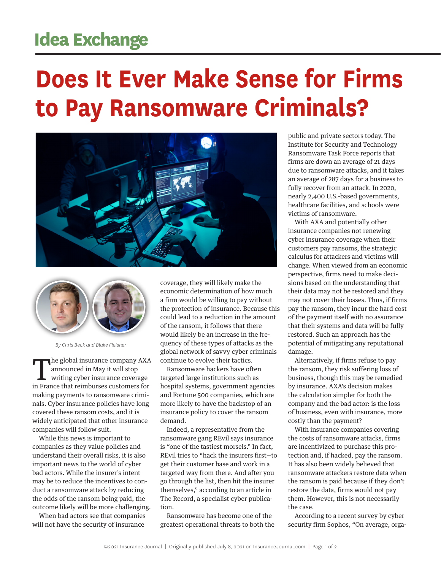## **Idea Exchange**

## **Does It Ever Make Sense for Firms to Pay Ransomware Criminals?**





*By Chris Beck and Blake Fleisher*

The global insurance company AXA announced in May it will stop writing cyber insurance coverage in France that reimburses customers for making payments to ransomware criminals. Cyber insurance policies have long covered these ransom costs, and it is widely anticipated that other insurance companies will follow suit.

While this news is important to companies as they value policies and understand their overall risks, it is also important news to the world of cyber bad actors. While the insurer's intent may be to reduce the incentives to conduct a ransomware attack by reducing the odds of the ransom being paid, the outcome likely will be more challenging.

When bad actors see that companies will not have the security of insurance

coverage, they will likely make the economic determination of how much a firm would be willing to pay without the protection of insurance. Because this could lead to a reduction in the amount of the ransom, it follows that there would likely be an increase in the frequency of these types of attacks as the global network of savvy cyber criminals continue to evolve their tactics.

Ransomware hackers have often targeted large institutions such as hospital systems, government agencies and Fortune 500 companies, which are more likely to have the backstop of an insurance policy to cover the ransom demand.

Indeed, a representative from the ransomware gang REvil says insurance is "one of the tastiest morsels." In fact, REvil tries to "hack the insurers first—to get their customer base and work in a targeted way from there. And after you go through the list, then hit the insurer themselves," according to an article in The Record, a specialist cyber publication.

Ransomware has become one of the greatest operational threats to both the public and private sectors today. The Institute for Security and Technology Ransomware Task Force reports that firms are down an average of 21 days due to ransomware attacks, and it takes an average of 287 days for a business to fully recover from an attack. In 2020, nearly 2,400 U.S.-based governments, healthcare facilities, and schools were victims of ransomware.

With AXA and potentially other insurance companies not renewing cyber insurance coverage when their customers pay ransoms, the strategic calculus for attackers and victims will change. When viewed from an economic perspective, firms need to make decisions based on the understanding that their data may not be restored and they may not cover their losses. Thus, if firms pay the ransom, they incur the hard cost of the payment itself with no assurance that their systems and data will be fully restored. Such an approach has the potential of mitigating any reputational damage.

Alternatively, if firms refuse to pay the ransom, they risk suffering loss of business, though this may be remedied by insurance. AXA's decision makes the calculation simpler for both the company and the bad actor: is the loss of business, even with insurance, more costly than the payment?

With insurance companies covering the costs of ransomware attacks, firms are incentivized to purchase this protection and, if hacked, pay the ransom. It has also been widely believed that ransomware attackers restore data when the ransom is paid because if they don't restore the data, firms would not pay them. However, this is not necessarily the case.

According to a recent survey by cyber security firm Sophos, "On average, orga-